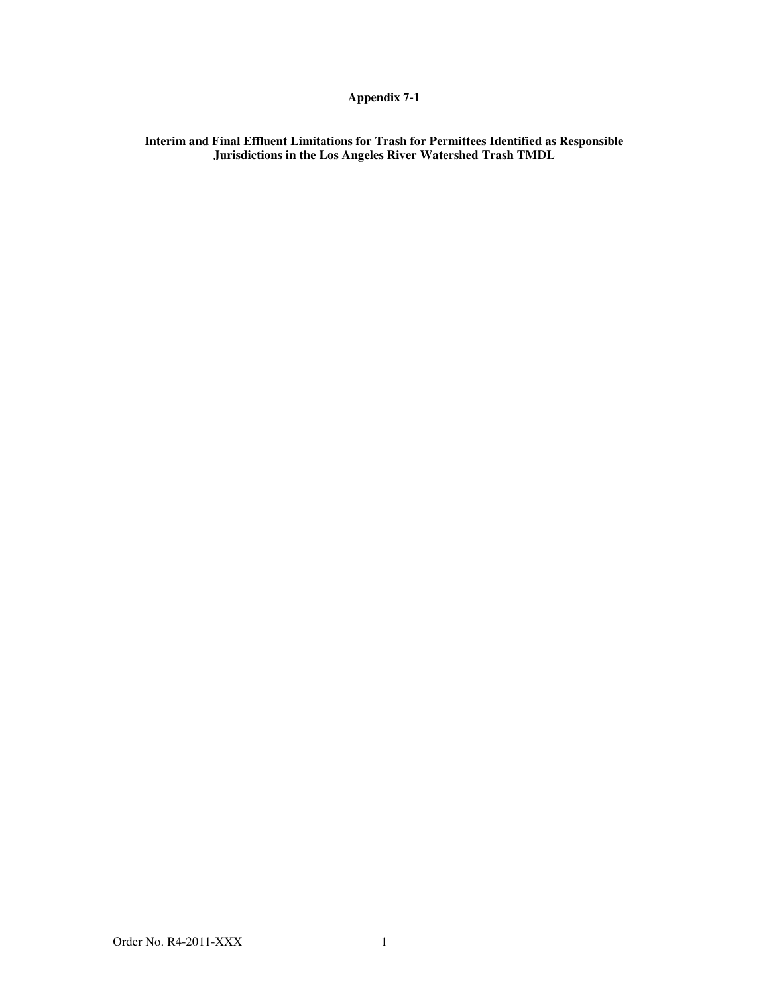## **Appendix 7-1**

**Interim and Final Effluent Limitations for Trash for Permittees Identified as Responsible Jurisdictions in the Los Angeles River Watershed Trash TMDL**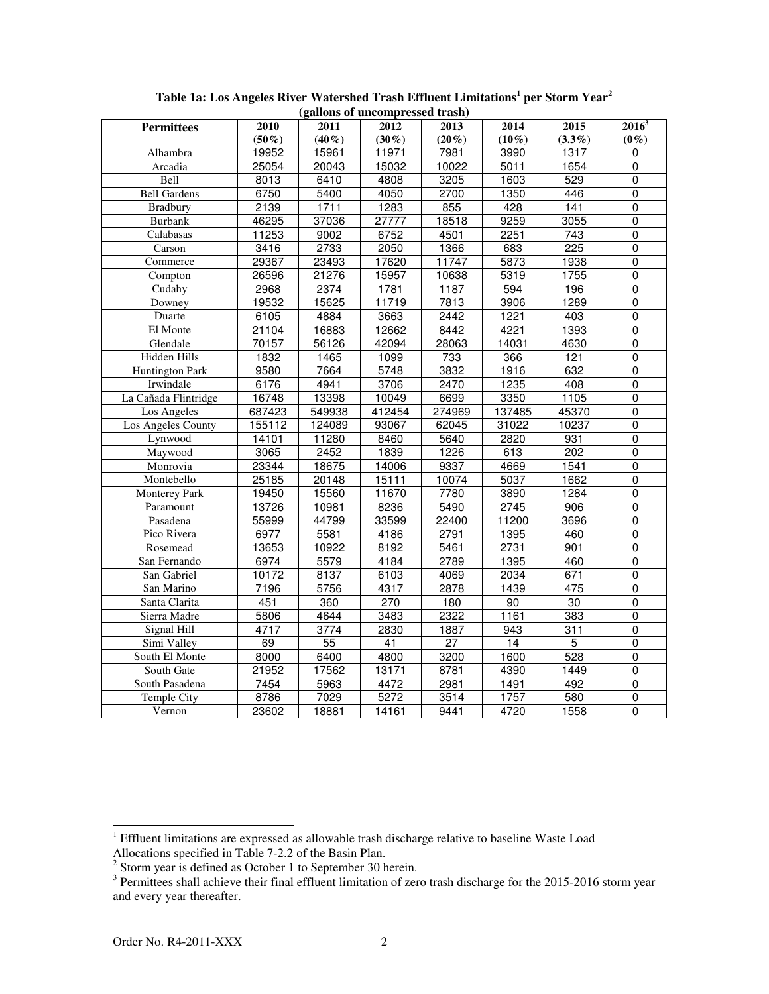| (ganons of uncompressed trash) |                  |                 |          |                 |          |                  |                |  |  |  |  |  |
|--------------------------------|------------------|-----------------|----------|-----------------|----------|------------------|----------------|--|--|--|--|--|
| <b>Permittees</b>              | 2010             | 2011            | 2012     | 2013            | 2014     | 2015             | $2016^3$       |  |  |  |  |  |
|                                | $(50\%)$         | $(40\%)$        | $(30\%)$ | $(20\%)$        | $(10\%)$ | $(3.3\%)$        | $(0\%)$        |  |  |  |  |  |
| Alhambra                       | 19952            | 15961           | 11971    | 7981            | 3990     | 1317             | 0              |  |  |  |  |  |
| Arcadia                        | 25054            | 20043           | 15032    | 10022           | 5011     | 1654             | $\overline{0}$ |  |  |  |  |  |
| Bell                           | 8013             | 6410            | 4808     | 3205            | 1603     | 529              | $\mathbf{0}$   |  |  |  |  |  |
| <b>Bell Gardens</b>            | 6750             | 5400            | 4050     | 2700            | 1350     | 446              | $\overline{0}$ |  |  |  |  |  |
| <b>Bradbury</b>                | 2139             | 1711            | 1283     | 855             | 428      | 141              | $\mathbf 0$    |  |  |  |  |  |
| <b>Burbank</b>                 | 46295            | 37036           | 27777    | 18518           | 9259     | 3055             | $\mathbf 0$    |  |  |  |  |  |
| Calabasas                      | 11253            | 9002            | 6752     | 4501            | 2251     | $\overline{743}$ | $\overline{0}$ |  |  |  |  |  |
| Carson                         | 3416             | 2733            | 2050     | 1366            | 683      | $\overline{225}$ | $\overline{0}$ |  |  |  |  |  |
| Commerce                       | 29367            | 23493           | 17620    | 11747           | 5873     | 1938             | $\overline{0}$ |  |  |  |  |  |
| Compton                        | 26596            | 21276           | 15957    | 10638           | 5319     | 1755             | $\overline{0}$ |  |  |  |  |  |
| Cudahy                         | 2968             | 2374            | 1781     | 1187            | 594      | 196              | $\overline{0}$ |  |  |  |  |  |
| Downey                         | 19532            | 15625           | 11719    | 7813            | 3906     | 1289             | $\overline{0}$ |  |  |  |  |  |
| Duarte                         | 6105             | 4884            | 3663     | 2442            | 1221     | 403              | $\pmb{0}$      |  |  |  |  |  |
| El Monte                       | 21104            | 16883           | 12662    | 8442            | 4221     | 1393             | $\overline{0}$ |  |  |  |  |  |
| Glendale                       | 70157            | 56126           | 42094    | 28063           | 14031    | 4630             | $\overline{0}$ |  |  |  |  |  |
| Hidden Hills                   | 1832             | 1465            | 1099     | 733             | 366      | 121              | $\mathbf 0$    |  |  |  |  |  |
| <b>Huntington Park</b>         | 9580             | 7664            | 5748     | 3832            | 1916     | 632              | $\overline{0}$ |  |  |  |  |  |
| Irwindale                      | 6176             | 4941            | 3706     | 2470            | 1235     | 408              | $\overline{0}$ |  |  |  |  |  |
| La Cañada Flintridge           | 16748            | 13398           | 10049    | 6699            | 3350     | 1105             | $\mathbf 0$    |  |  |  |  |  |
| Los Angeles                    | 687423           | 549938          | 412454   | 274969          | 137485   | 45370            | $\mathbf 0$    |  |  |  |  |  |
| Los Angeles County             | 155112           | 124089          | 93067    | 62045           | 31022    | 10237            | $\overline{0}$ |  |  |  |  |  |
| Lynwood                        | 14101            | 11280           | 8460     | 5640            | 2820     | 931              | 0              |  |  |  |  |  |
| Maywood                        | 3065             | 2452            | 1839     | 1226            | 613      | $\overline{202}$ | $\overline{0}$ |  |  |  |  |  |
| Monrovia                       | 23344            | 18675           | 14006    | 9337            | 4669     | 1541             | $\mathbf 0$    |  |  |  |  |  |
| Montebello                     | 25185            | 20148           | 15111    | 10074           | 5037     | 1662             | $\mathbf 0$    |  |  |  |  |  |
| <b>Monterey Park</b>           | 19450            | 15560           | 11670    | 7780            | 3890     | 1284             | $\pmb{0}$      |  |  |  |  |  |
| Paramount                      | 13726            | 10981           | 8236     | 5490            | 2745     | 906              | $\overline{0}$ |  |  |  |  |  |
| Pasadena                       | 55999            | 44799           | 33599    | 22400           | 11200    | 3696             | $\mathbf 0$    |  |  |  |  |  |
| Pico Rivera                    | 6977             | 5581            | 4186     | 2791            | 1395     | 460              | $\overline{0}$ |  |  |  |  |  |
| Rosemead                       | 13653            | 10922           | 8192     | 5461            | 2731     | 901              | $\overline{0}$ |  |  |  |  |  |
| San Fernando                   | 6974             | 5579            | 4184     | 2789            | 1395     | 460              | $\overline{0}$ |  |  |  |  |  |
| San Gabriel                    | 10172            | 8137            | 6103     | 4069            | 2034     | 671              | $\overline{0}$ |  |  |  |  |  |
| San Marino                     | 7196             | 5756            | 4317     | 2878            | 1439     | 475              | $\overline{0}$ |  |  |  |  |  |
| Santa Clarita                  | 451              | 360             | 270      | 180             | 90       | $\overline{30}$  | $\overline{0}$ |  |  |  |  |  |
| Sierra Madre                   | 5806             | 4644            | 3483     | 2322            | 1161     | 383              | $\overline{0}$ |  |  |  |  |  |
| Signal Hill                    | 4717             | 3774            | 2830     | 1887            | 943      | 311              | $\overline{0}$ |  |  |  |  |  |
| Simi Valley                    | 69               | $\overline{55}$ | 41       | $\overline{27}$ | 14       | $\overline{5}$   | $\overline{0}$ |  |  |  |  |  |
| South El Monte                 | 8000             | 6400            | 4800     | 3200            | 1600     | 528              | $\pmb{0}$      |  |  |  |  |  |
| South Gate                     | 21952            | 17562           | 13171    | 8781            | 4390     | 1449             | $\overline{0}$ |  |  |  |  |  |
| South Pasadena                 | $\frac{1}{7454}$ | 5963            | 4472     | 2981            | 1491     | 492              | $\overline{0}$ |  |  |  |  |  |
| <b>Temple City</b>             | 8786             | 7029            | 5272     | 3514            | 1757     | 580              | $\overline{0}$ |  |  |  |  |  |
| Vernon                         | 23602            | 18881           | 14161    | 9441            | 4720     | 1558             | $\overline{0}$ |  |  |  |  |  |
|                                |                  |                 |          |                 |          |                  |                |  |  |  |  |  |

**Table 1a: Los Angeles River Watershed Trash Effluent Limitations<sup>1</sup> per Storm Year<sup>2</sup> (gallons of uncompressed trash)**

<sup>&</sup>lt;sup>1</sup> Effluent limitations are expressed as allowable trash discharge relative to baseline Waste Load

Allocations specified in Table 7-2.2 of the Basin Plan.<br><sup>2</sup> Storm year is defined as October 1 to September 30 herein.<br><sup>3</sup> Permittees shall achieve their final effluent limitation of zero trash discharge for the 2015-2016 and every year thereafter.